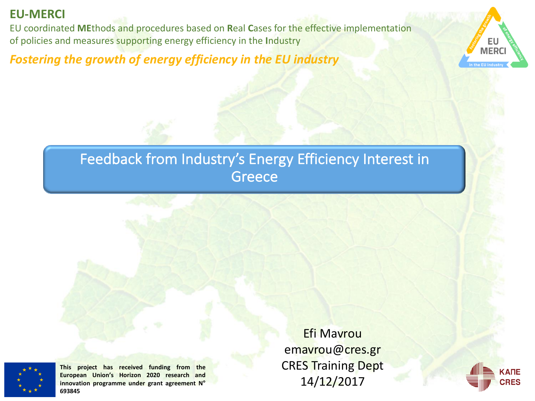#### **EU-MERCI**

EU coordinated MEthods and procedures based on Real Cases for the effective implementation of policies and measures supporting energy efficiency in the Industry

Fostering the growth of energy efficiency in the EU industry



## Feedback from Industry's Energy Efficiency Interest in **Greece**



**This project has received funding from the European Union's Horizon 2020 research and innovation programme under grant agreement N° 693845**

**Efi Mavrou** emavrou@cres.gr **CRES Training Dept** 14/12/2017

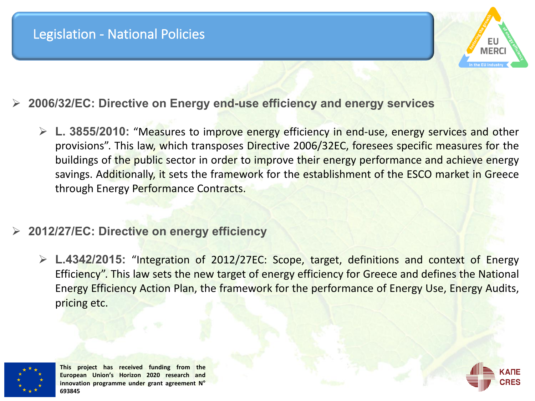#### Legislation - National Policies

- Ø **2006/32/EC: Directive on Energy end-use efficiency and energy services**
	- Ø **L. 3855/2010:** "Measures to improve energy efficiency in end-use, energy services and other provisions". This law, which transposes Directive 2006/32EC, foresees specific measures for the buildings of the public sector in order to improve their energy performance and achieve energy savings. Additionally, it sets the framework for the establishment of the ESCO market in Greece through Energy Performance Contracts.
- Ø **2012/27/EC: Directive on energy efficiency**
	- Ø **L.4342/2015:** "Integration of 2012/27EC: Scope, target, definitions and context of Energy Efficiency". This law sets the new target of energy efficiency for Greece and defines the National Energy Efficiency Action Plan, the framework for the performance of Energy Use, Energy Audits, pricing etc.



**This project has received funding from the European Union's Horizon 2020 research and innovation programme under grant agreement N° 693845**



MFR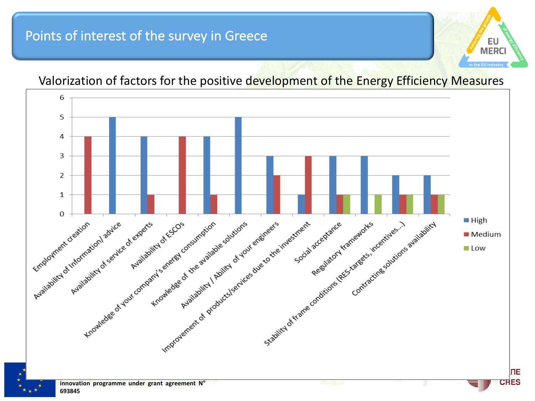#### Points of interest of the survey in Greece



#### Valorization of factors for the positive development of the Energy Efficiency Measures

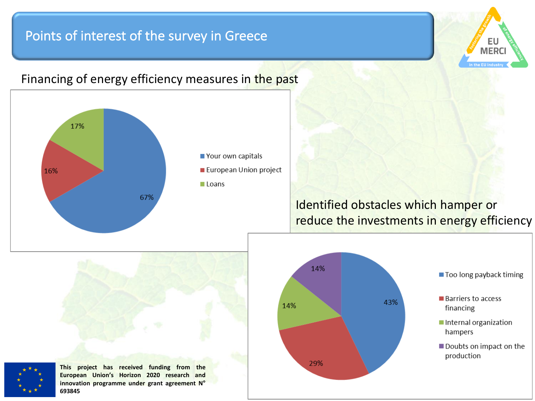#### Points of interest of the survey in Greece



#### Financing of energy efficiency measures in the past

Identified obstacles which hamper or reduce the investments in energy efficiency

Еι **MER** 



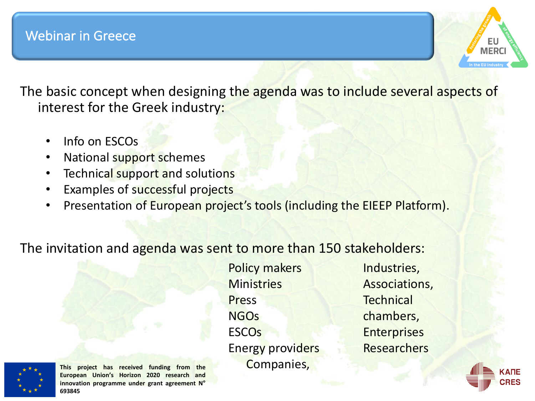

The basic concept when designing the agenda was to include several aspects of interest for the Greek industry:

- Info on ESCOs
- National support schemes
- Technical support and solutions
- Examples of successful projects
- Presentation of European project's tools (including the EIEEP Platform).

#### The invitation and agenda was sent to more than 150 stakeholders:

Policy makers **Ministries** Press **NGOS ESCO<sub>s</sub>** Energy providers Companies, 

Industries, Associations, **Technical** chambers, **Enterprises Researchers** 



**This project has received funding from the European Union's Horizon 2020 research and innovation programme under grant agreement N° 693845**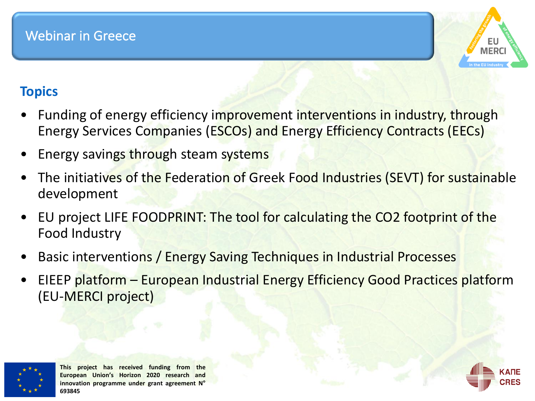

## **Topics**

- Funding of energy efficiency improvement interventions in industry, through Energy Services Companies (ESCOs) and Energy Efficiency Contracts (EECs)
- Energy savings through steam systems
- The initiatives of the Federation of Greek Food Industries (SEVT) for sustainable development
- EU project LIFE FOODPRINT: The tool for calculating the CO2 footprint of the Food Industry
- Basic interventions / Energy Saving Techniques in Industrial Processes
- EIEEP platform European Industrial Energy Efficiency Good Practices platform (EU-MERCI project)



**This project has received funding from the European Union's Horizon 2020 research and innovation programme under grant agreement N° 693845**

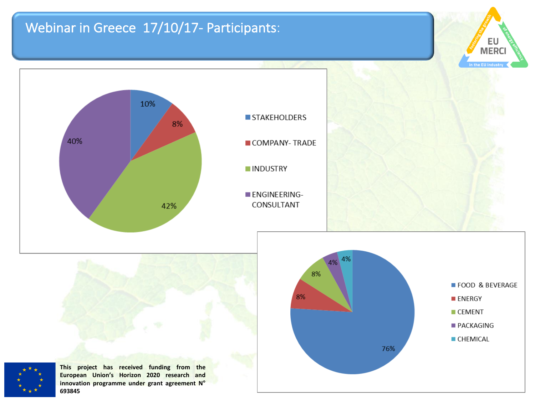### Webinar in Greece 17/10/17- Participants:

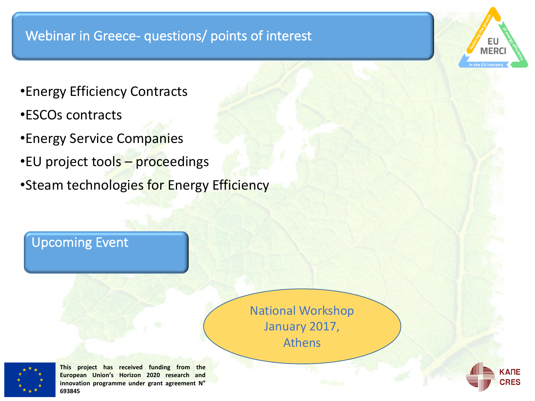#### Webinar in Greece- questions/ points of interest

- •Energy Efficiency Contracts
- •ESCOs contracts
- •Energy Service Companies
- •EU project tools proceedings
- Steam technologies for Energy Efficiency

#### **Upcoming Event**

National Workshop January 2017, Athens 



**This project has received funding from the European Union's Horizon 2020 research and innovation programme under grant agreement N° 693845**



**MER**